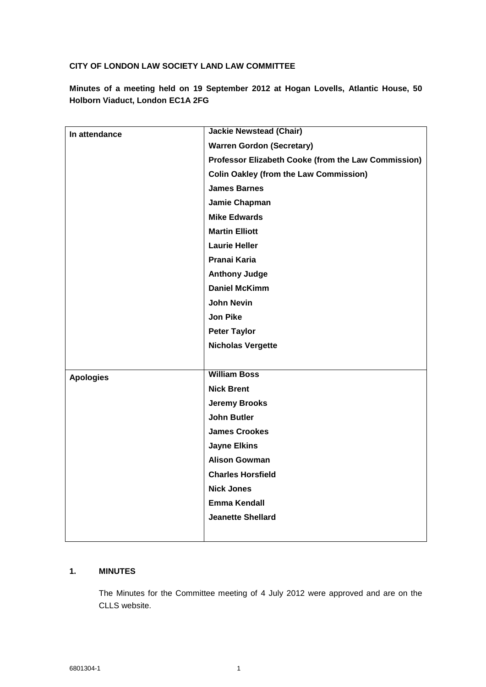## **CITY OF LONDON LAW SOCIETY LAND LAW COMMITTEE**

**Minutes of a meeting held on 19 September 2012 at Hogan Lovells, Atlantic House, 50 Holborn Viaduct, London EC1A 2FG**

| In attendance    | <b>Jackie Newstead (Chair)</b>                      |
|------------------|-----------------------------------------------------|
|                  | <b>Warren Gordon (Secretary)</b>                    |
|                  | Professor Elizabeth Cooke (from the Law Commission) |
|                  | <b>Colin Oakley (from the Law Commission)</b>       |
|                  | <b>James Barnes</b>                                 |
|                  | Jamie Chapman                                       |
|                  | <b>Mike Edwards</b>                                 |
|                  | <b>Martin Elliott</b>                               |
|                  | <b>Laurie Heller</b>                                |
|                  | Pranai Karia                                        |
|                  | <b>Anthony Judge</b>                                |
|                  | <b>Daniel McKimm</b>                                |
|                  | <b>John Nevin</b>                                   |
|                  | <b>Jon Pike</b>                                     |
|                  | <b>Peter Taylor</b>                                 |
|                  | <b>Nicholas Vergette</b>                            |
|                  |                                                     |
| <b>Apologies</b> | <b>William Boss</b>                                 |
|                  | <b>Nick Brent</b>                                   |
|                  | <b>Jeremy Brooks</b>                                |
|                  | <b>John Butler</b>                                  |
|                  | <b>James Crookes</b>                                |
|                  | <b>Jayne Elkins</b>                                 |
|                  | <b>Alison Gowman</b>                                |
|                  | <b>Charles Horsfield</b>                            |
|                  | <b>Nick Jones</b>                                   |
|                  | <b>Emma Kendall</b>                                 |
|                  | <b>Jeanette Shellard</b>                            |
|                  |                                                     |

# **1. MINUTES**

The Minutes for the Committee meeting of 4 July 2012 were approved and are on the CLLS website.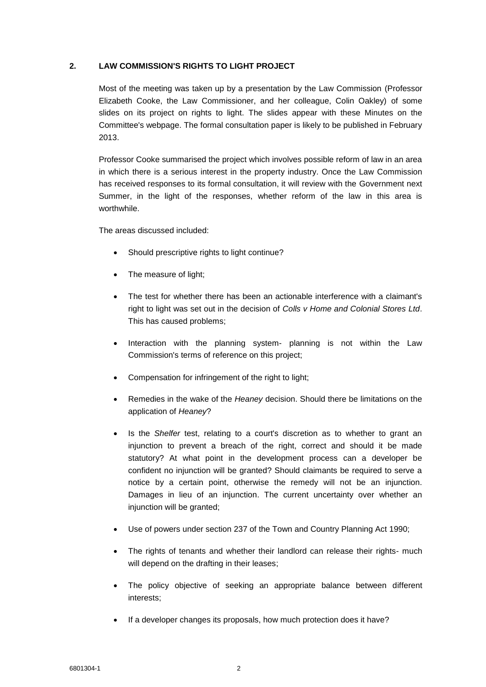## **2. LAW COMMISSION'S RIGHTS TO LIGHT PROJECT**

Most of the meeting was taken up by a presentation by the Law Commission (Professor Elizabeth Cooke, the Law Commissioner, and her colleague, Colin Oakley) of some slides on its project on rights to light. The slides appear with these Minutes on the Committee's webpage. The formal consultation paper is likely to be published in February 2013.

Professor Cooke summarised the project which involves possible reform of law in an area in which there is a serious interest in the property industry. Once the Law Commission has received responses to its formal consultation, it will review with the Government next Summer, in the light of the responses, whether reform of the law in this area is worthwhile.

The areas discussed included:

- Should prescriptive rights to light continue?
- The measure of light:
- The test for whether there has been an actionable interference with a claimant's right to light was set out in the decision of *Colls v Home and Colonial Stores Ltd*. This has caused problems;
- Interaction with the planning system- planning is not within the Law Commission's terms of reference on this project;
- Compensation for infringement of the right to light;
- Remedies in the wake of the *Heaney* decision. Should there be limitations on the application of *Heaney*?
- Is the *Shelfer* test, relating to a court's discretion as to whether to grant an injunction to prevent a breach of the right, correct and should it be made statutory? At what point in the development process can a developer be confident no injunction will be granted? Should claimants be required to serve a notice by a certain point, otherwise the remedy will not be an injunction. Damages in lieu of an injunction. The current uncertainty over whether an injunction will be granted;
- Use of powers under section 237 of the Town and Country Planning Act 1990;
- The rights of tenants and whether their landlord can release their rights- much will depend on the drafting in their leases;
- The policy objective of seeking an appropriate balance between different interests;
- If a developer changes its proposals, how much protection does it have?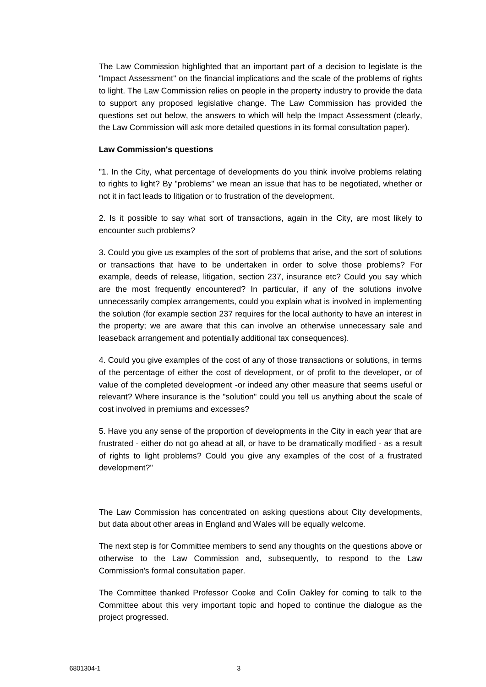The Law Commission highlighted that an important part of a decision to legislate is the "Impact Assessment" on the financial implications and the scale of the problems of rights to light. The Law Commission relies on people in the property industry to provide the data to support any proposed legislative change. The Law Commission has provided the questions set out below, the answers to which will help the Impact Assessment (clearly, the Law Commission will ask more detailed questions in its formal consultation paper).

#### **Law Commission's questions**

"1. In the City, what percentage of developments do you think involve problems relating to rights to light? By "problems" we mean an issue that has to be negotiated, whether or not it in fact leads to litigation or to frustration of the development.

2. Is it possible to say what sort of transactions, again in the City, are most likely to encounter such problems?

3. Could you give us examples of the sort of problems that arise, and the sort of solutions or transactions that have to be undertaken in order to solve those problems? For example, deeds of release, litigation, section 237, insurance etc? Could you say which are the most frequently encountered? In particular, if any of the solutions involve unnecessarily complex arrangements, could you explain what is involved in implementing the solution (for example section 237 requires for the local authority to have an interest in the property; we are aware that this can involve an otherwise unnecessary sale and leaseback arrangement and potentially additional tax consequences).

4. Could you give examples of the cost of any of those transactions or solutions, in terms of the percentage of either the cost of development, or of profit to the developer, or of value of the completed development -or indeed any other measure that seems useful or relevant? Where insurance is the "solution" could you tell us anything about the scale of cost involved in premiums and excesses?

5. Have you any sense of the proportion of developments in the City in each year that are frustrated - either do not go ahead at all, or have to be dramatically modified - as a result of rights to light problems? Could you give any examples of the cost of a frustrated development?"

The Law Commission has concentrated on asking questions about City developments, but data about other areas in England and Wales will be equally welcome.

The next step is for Committee members to send any thoughts on the questions above or otherwise to the Law Commission and, subsequently, to respond to the Law Commission's formal consultation paper.

The Committee thanked Professor Cooke and Colin Oakley for coming to talk to the Committee about this very important topic and hoped to continue the dialogue as the project progressed.